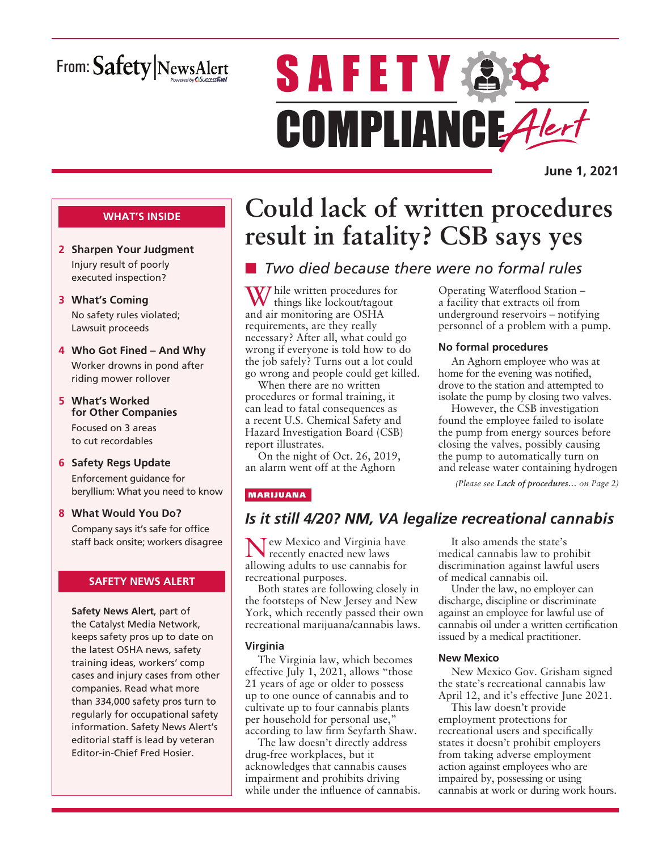# From: Safety NewsAlert

# **SAFETY & O** COMPLIANCE Alert

**June 1, 2021**

#### **WHAT'S INSIDE**

- **2 Sharpen Your Judgment** Injury result of poorly executed inspection?
- **3 What's Coming** No safety rules violated; Lawsuit proceeds
- **4 Who Got Fined And Why** Worker drowns in pond after riding mower rollover
- **5 What's Worked for Other Companies** Focused on 3 areas to cut recordables
- **6 Safety Regs Update** Enforcement guidance for beryllium: What you need to know
- **8 What Would You Do?** Company says it's safe for office staff back onsite; workers disagree

#### **SAFETY NEWS ALERT**

**Safety News Alert**, part of the Catalyst Media Network, keeps safety pros up to date on the latest OSHA news, safety training ideas, workers' comp cases and injury cases from other companies. Read what more than 334,000 safety pros turn to regularly for occupational safety information. Safety News Alert's editorial staff is lead by veteran Editor-in-Chief Fred Hosier.

# **Could lack of written procedures result in fatality? CSB says yes**

# ■ *Two died because there were no formal rules*

**V**/ hile written procedures for things like lockout/tagout and air monitoring are OSHA requirements, are they really necessary? After all, what could go wrong if everyone is told how to do the job safely? Turns out a lot could go wrong and people could get killed.

When there are no written procedures or formal training, it can lead to fatal consequences as a recent U.S. Chemical Safety and Hazard Investigation Board (CSB) report illustrates.

On the night of Oct. 26, 2019, an alarm went off at the Aghorn

#### MARIJUANA

### *Is it still 4/20? NM, VA legalize recreational cannabis*

Tew Mexico and Virginia have recently enacted new laws allowing adults to use cannabis for recreational purposes.

Both states are following closely in the footsteps of New Jersey and New York, which recently passed their own recreational marijuana/cannabis laws.

#### **Virginia**

The Virginia law, which becomes effective July 1, 2021, allows "those 21 years of age or older to possess up to one ounce of cannabis and to cultivate up to four cannabis plants per household for personal use," according to law firm Seyfarth Shaw.

The law doesn't directly address drug-free workplaces, but it acknowledges that cannabis causes impairment and prohibits driving while under the influence of cannabis.

It also amends the state's medical cannabis law to prohibit discrimination against lawful users of medical cannabis oil.

*(Please see Lack of procedures… on Page 2)*

Operating Waterflood Station – a facility that extracts oil from underground reservoirs – notifying personnel of a problem with a pump.

An Aghorn employee who was at home for the evening was notified, drove to the station and attempted to isolate the pump by closing two valves. However, the CSB investigation found the employee failed to isolate the pump from energy sources before closing the valves, possibly causing the pump to automatically turn on and release water containing hydrogen

**No formal procedures**

Under the law, no employer can discharge, discipline or discriminate against an employee for lawful use of cannabis oil under a written certification issued by a medical practitioner.

#### **New Mexico**

New Mexico Gov. Grisham signed the state's recreational cannabis law April 12, and it's effective June 2021.

This law doesn't provide employment protections for recreational users and specifically states it doesn't prohibit employers from taking adverse employment action against employees who are impaired by, possessing or using cannabis at work or during work hours.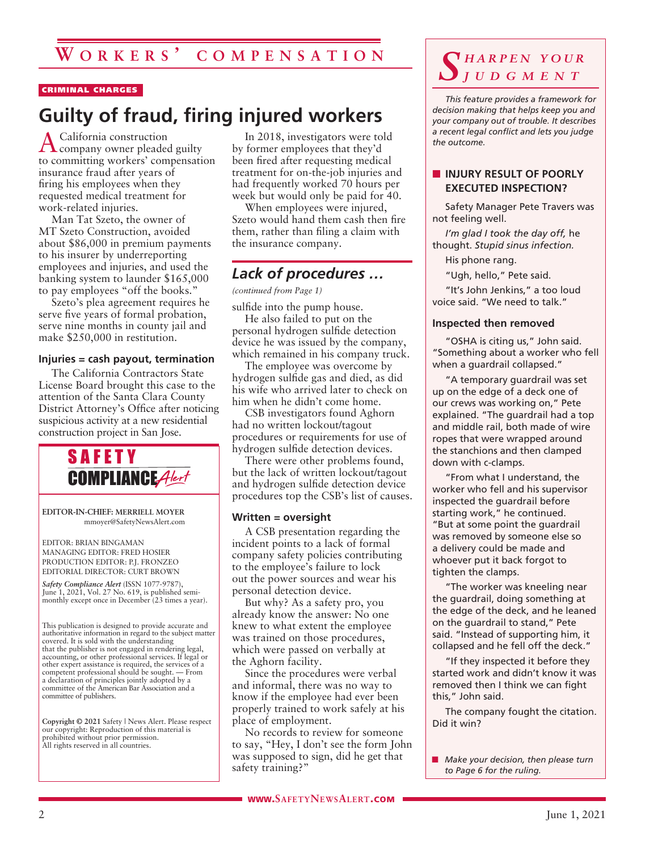#### CRIMINAL CHARGES

# **Guilty of fraud, firing injured workers**

A California construction company owner pleaded guilty to committing workers' compensation insurance fraud after years of firing his employees when they requested medical treatment for work-related injuries.

Man Tat Szeto, the owner of MT Szeto Construction, avoided about \$86,000 in premium payments to his insurer by underreporting employees and injuries, and used the banking system to launder \$165,000 to pay employees "off the books."

Szeto's plea agreement requires he serve five years of formal probation, serve nine months in county jail and make \$250,000 in restitution.

#### **Injuries = cash payout, termination**

The California Contractors State License Board brought this case to the attention of the Santa Clara County District Attorney's Office after noticing suspicious activity at a new residential construction project in San Jose.



**EDITOR-IN-CHIEF: MERRIELL MOYER** mmoyer@SafetyNewsAlert.com

EDITOR: BRIAN BINGAMAN MANAGING EDITOR: FRED HOSIER PRODUCTION EDITOR: P.J. FRONZEO EDITORIAL DIRECTOR: CURT BROWN

*Safety Compliance Alert* (ISSN 1077-9787), June 1, 2021, Vol. 27 No. 619, is published semimonthly except once in December (23 times a year).

This publication is designed to provide accurate and authoritative information in regard to the subject matter covered. It is sold with the understanding that the publisher is not engaged in rendering legal, accounting, or other professional services. If legal or other expert assistance is required, the services of a competent professional should be sought. — From a declaration of principles jointly adopted by a committee of the American Bar Association and a committee of publishers.

**Copyright © 2021** Safety | News Alert. Please respect our copyright: Reproduction of this material is prohibited without prior permission. All rights reserved in all countries.

In 2018, investigators were told by former employees that they'd been fired after requesting medical treatment for on-the-job injuries and had frequently worked 70 hours per week but would only be paid for 40.

When employees were injured, Szeto would hand them cash then fire them, rather than filing a claim with the insurance company.

## *Lack of procedures …*

*(continued from Page 1)*

sulfide into the pump house.

He also failed to put on the personal hydrogen sulfide detection device he was issued by the company, which remained in his company truck.

The employee was overcome by hydrogen sulfide gas and died, as did his wife who arrived later to check on him when he didn't come home.

CSB investigators found Aghorn had no written lockout/tagout procedures or requirements for use of hydrogen sulfide detection devices.

There were other problems found, but the lack of written lockout/tagout and hydrogen sulfide detection device procedures top the CSB's list of causes.

#### **Written = oversight**

A CSB presentation regarding the incident points to a lack of formal company safety policies contributing to the employee's failure to lock out the power sources and wear his personal detection device.

But why? As a safety pro, you already know the answer: No one knew to what extent the employee was trained on those procedures, which were passed on verbally at the Aghorn facility.

Since the procedures were verbal and informal, there was no way to know if the employee had ever been properly trained to work safely at his place of employment.

No records to review for someone to say, "Hey, I don't see the form John was supposed to sign, did he get that safety training?"

# *S h a r p e n y o u r j u d g m e n t*

*This feature provides a framework for decision making that helps keep you and your company out of trouble. It describes a recent legal conflict and lets you judge the outcome.*

#### **NUILLEY RESULT OF POORLY EXECUTED INSPECTION?**

Safety Manager Pete Travers was not feeling well.

*I'm glad I took the day off,* he thought. *Stupid sinus infection.*

His phone rang.

"Ugh, hello," Pete said.

"It's John Jenkins," a too loud voice said. "We need to talk."

#### **Inspected then removed**

"OSHA is citing us," John said. "Something about a worker who fell when a guardrail collapsed."

"A temporary guardrail was set up on the edge of a deck one of our crews was working on," Pete explained. "The guardrail had a top and middle rail, both made of wire ropes that were wrapped around the stanchions and then clamped down with c-clamps.

"From what I understand, the worker who fell and his supervisor inspected the guardrail before starting work," he continued. "But at some point the guardrail was removed by someone else so a delivery could be made and whoever put it back forgot to tighten the clamps.

"The worker was kneeling near the guardrail, doing something at the edge of the deck, and he leaned on the guardrail to stand," Pete said. "Instead of supporting him, it collapsed and he fell off the deck."

"If they inspected it before they started work and didn't know it was removed then I think we can fight this," John said.

The company fought the citation. Did it win?

**n** *Make your decision, then please turn to Page 6 for the ruling.*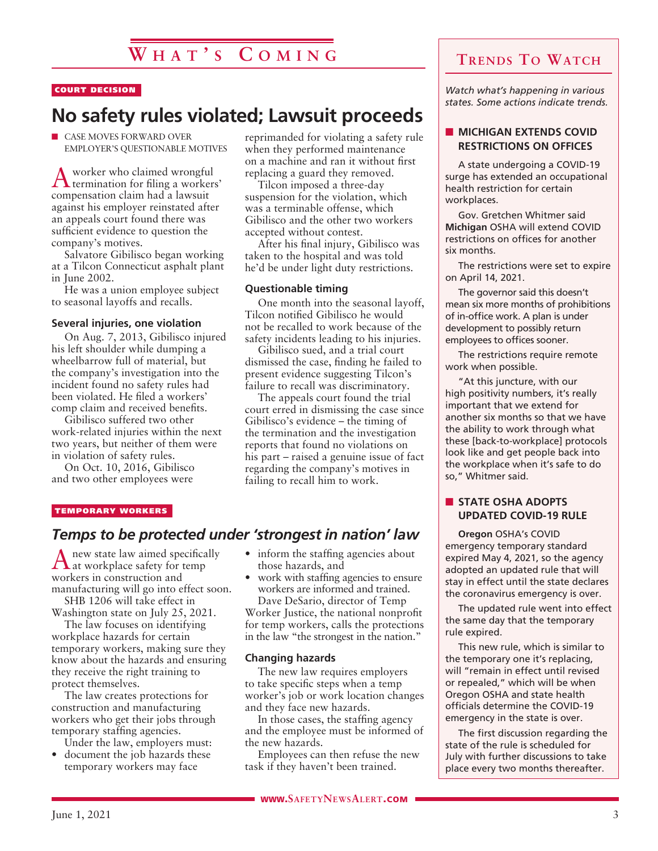# **W h a t ' s C o m i n g**

#### COURT DECISION

# **No safety rules violated; Lawsuit proceeds**

 $\blacksquare$  CASE MOVES FORWARD OVER EMPLOYER'S QUESTIONABLE MOTIVES

Aworker who claimed wrongful termination for filing a workers' compensation claim had a lawsuit against his employer reinstated after an appeals court found there was sufficient evidence to question the company's motives.

Salvatore Gibilisco began working at a Tilcon Connecticut asphalt plant in June 2002.

He was a union employee subject to seasonal layoffs and recalls.

#### **Several injuries, one violation**

On Aug. 7, 2013, Gibilisco injured his left shoulder while dumping a wheelbarrow full of material, but the company's investigation into the incident found no safety rules had been violated. He filed a workers' comp claim and received benefits.

Gibilisco suffered two other work-related injuries within the next two years, but neither of them were in violation of safety rules.

On Oct. 10, 2016, Gibilisco and two other employees were

reprimanded for violating a safety rule when they performed maintenance on a machine and ran it without first replacing a guard they removed.

Tilcon imposed a three-day suspension for the violation, which was a terminable offense, which Gibilisco and the other two workers accepted without contest.

After his final injury, Gibilisco was taken to the hospital and was told he'd be under light duty restrictions.

#### **Questionable timing**

One month into the seasonal layoff, Tilcon notified Gibilisco he would not be recalled to work because of the safety incidents leading to his injuries.

Gibilisco sued, and a trial court dismissed the case, finding he failed to present evidence suggesting Tilcon's failure to recall was discriminatory.

The appeals court found the trial court erred in dismissing the case since Gibilisco's evidence – the timing of the termination and the investigation reports that found no violations on his part – raised a genuine issue of fact regarding the company's motives in failing to recall him to work.

#### TEMPORARY WORKERS

#### *Temps to be protected under 'strongest in nation' law*

Anew state law aimed specifically at workplace safety for temp workers in construction and manufacturing will go into effect soon.

SHB 1206 will take effect in Washington state on July 25, 2021.

The law focuses on identifying workplace hazards for certain temporary workers, making sure they know about the hazards and ensuring they receive the right training to protect themselves.

The law creates protections for construction and manufacturing workers who get their jobs through temporary staffing agencies.

- Under the law, employers must: • document the job hazards these
- temporary workers may face
- inform the staffing agencies about those hazards, and
- work with staffing agencies to ensure workers are informed and trained. Dave DeSario, director of Temp

Worker Justice, the national nonprofit for temp workers, calls the protections in the law "the strongest in the nation."

#### **Changing hazards**

The new law requires employers to take specific steps when a temp worker's job or work location changes and they face new hazards.

In those cases, the staffing agency and the employee must be informed of the new hazards.

Employees can then refuse the new task if they haven't been trained.

**WWW.SAFETYNEWSALERT.COM** 

## **Trends To Watch**

*Watch what's happening in various states. Some actions indicate trends.*

#### **NICHIGAN EXTENDS COVID RESTRICTIONS ON OFFICES**

A state undergoing a COVID-19 surge has extended an occupational health restriction for certain workplaces.

Gov. Gretchen Whitmer said **Michigan** OSHA will extend COVID restrictions on offices for another six months.

The restrictions were set to expire on April 14, 2021.

The governor said this doesn't mean six more months of prohibitions of in-office work. A plan is under development to possibly return employees to offices sooner.

The restrictions require remote work when possible.

"At this juncture, with our high positivity numbers, it's really important that we extend for another six months so that we have the ability to work through what these [back-to-workplace] protocols look like and get people back into the workplace when it's safe to do so," Whitmer said.

#### **N** STATE OSHA ADOPTS **UPDATED COVID-19 RULE**

**Oregon** OSHA's COVID emergency temporary standard expired May 4, 2021, so the agency adopted an updated rule that will stay in effect until the state declares the coronavirus emergency is over.

The updated rule went into effect the same day that the temporary rule expired.

This new rule, which is similar to the temporary one it's replacing, will "remain in effect until revised or repealed," which will be when Oregon OSHA and state health officials determine the COVID-19 emergency in the state is over.

The first discussion regarding the state of the rule is scheduled for July with further discussions to take place every two months thereafter.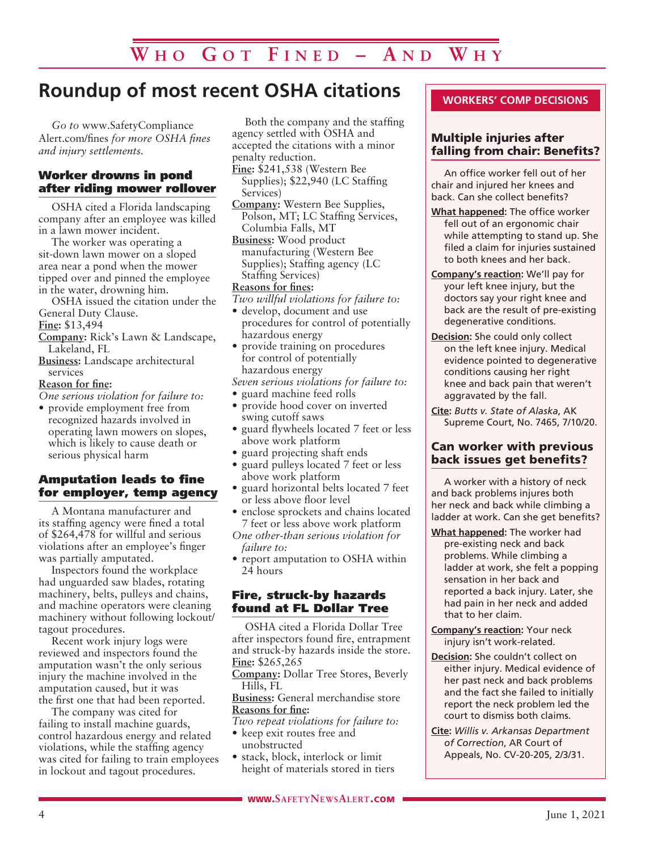# **Roundup of most recent OSHA citations**

*Go to* www.SafetyCompliance Alert.com/fines *for more OSHA fines and injury settlements.*

#### Worker drowns in pond after riding mower rollover

OSHA cited a Florida landscaping company after an employee was killed in a lawn mower incident.

The worker was operating a sit-down lawn mower on a sloped area near a pond when the mower tipped over and pinned the employee in the water, drowning him.

OSHA issued the citation under the General Duty Clause.

**Fine:** \$13,494

- **Company:** Rick's Lawn & Landscape, Lakeland, FL
- **Business:** Landscape architectural services

#### **Reason for fine:**

*One serious violation for failure to:*

• provide employment free from recognized hazards involved in operating lawn mowers on slopes, which is likely to cause death or serious physical harm

#### Amputation leads to fine for employer, temp agency

A Montana manufacturer and its staffing agency were fined a total of \$264,478 for willful and serious violations after an employee's finger was partially amputated.

Inspectors found the workplace had unguarded saw blades, rotating machinery, belts, pulleys and chains, and machine operators were cleaning machinery without following lockout/ tagout procedures.

Recent work injury logs were reviewed and inspectors found the amputation wasn't the only serious injury the machine involved in the amputation caused, but it was the first one that had been reported.

The company was cited for failing to install machine guards, control hazardous energy and related violations, while the staffing agency was cited for failing to train employees in lockout and tagout procedures.

Both the company and the staffing agency settled with OSHA and accepted the citations with a minor penalty reduction.

- **Fine:** \$241,538 (Western Bee Supplies); \$22,940 (LC Staffing Services)
- **Company:** Western Bee Supplies, Polson, MT; LC Staffing Services, Columbia Falls, MT

**Business:** Wood product manufacturing (Western Bee Supplies); Staffing agency (LC Staffing Services)

#### **Reasons for fines:**

- *Two willful violations for failure to:*
- develop, document and use procedures for control of potentially hazardous energy
- provide training on procedures for control of potentially hazardous energy

*Seven serious violations for failure to:*

- guard machine feed rolls
- provide hood cover on inverted swing cutoff saws
- guard flywheels located 7 feet or less above work platform
- guard projecting shaft ends
- guard pulleys located 7 feet or less above work platform
- guard horizontal belts located 7 feet or less above floor level
- enclose sprockets and chains located 7 feet or less above work platform

*One other-than serious violation for failure to:*

• report amputation to OSHA within 24 hours

#### Fire, struck-by hazards found at FL Dollar Tree

OSHA cited a Florida Dollar Tree after inspectors found fire, entrapment and struck-by hazards inside the store. **Fine:** \$265,265

**Company:** Dollar Tree Stores, Beverly Hills, FL

**Business:** General merchandise store **Reasons for fine:**

*Two repeat violations for failure to:*

- keep exit routes free and unobstructed
- stack, block, interlock or limit height of materials stored in tiers

#### **WORKERS' COMP DECISIONS**

#### Multiple injuries after falling from chair: Benefits?

An office worker fell out of her chair and injured her knees and back. Can she collect benefits?

- **What happened:** The office worker fell out of an ergonomic chair while attempting to stand up. She filed a claim for injuries sustained to both knees and her back.
- **Company's reaction:** We'll pay for your left knee injury, but the doctors say your right knee and back are the result of pre-existing degenerative conditions.
- **Decision:** She could only collect on the left knee injury. Medical evidence pointed to degenerative conditions causing her right knee and back pain that weren't aggravated by the fall.
- **Cite:** *Butts v. State of Alaska*, AK Supreme Court, No. 7465, 7/10/20.

#### Can worker with previous back issues get benefits?

A worker with a history of neck and back problems injures both her neck and back while climbing a ladder at work. Can she get benefits?

- **What happened:** The worker had pre-existing neck and back problems. While climbing a ladder at work, she felt a popping sensation in her back and reported a back injury. Later, she had pain in her neck and added that to her claim.
- **Company's reaction:** Your neck injury isn't work-related.
- **Decision:** She couldn't collect on either injury. Medical evidence of her past neck and back problems and the fact she failed to initially report the neck problem led the court to dismiss both claims.
- **Cite:** *Willis v. Arkansas Department of Correction*, AR Court of Appeals, No. CV-20-205, 2/3/31.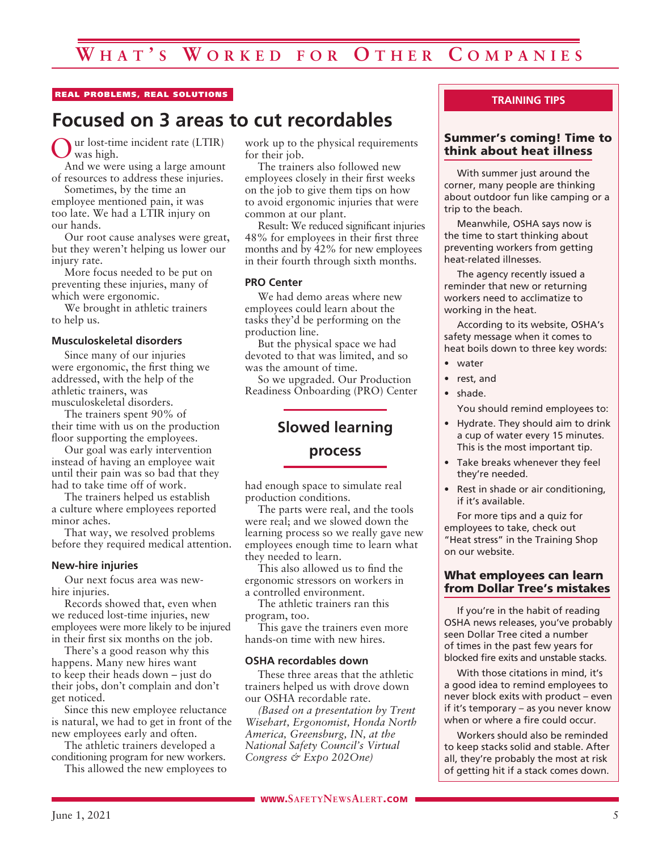#### REAL PROBLEMS, REAL SOLUTIONS

# **Focused on 3 areas to cut recordables**

ur lost-time incident rate (LTIR) was high.

And we were using a large amount of resources to address these injuries. Sometimes, by the time an

employee mentioned pain, it was too late. We had a LTIR injury on our hands.

Our root cause analyses were great, but they weren't helping us lower our injury rate.

More focus needed to be put on preventing these injuries, many of which were ergonomic.

We brought in athletic trainers to help us.

#### **Musculoskeletal disorders**

Since many of our injuries were ergonomic, the first thing we addressed, with the help of the athletic trainers, was musculoskeletal disorders.

The trainers spent 90% of their time with us on the production floor supporting the employees.

Our goal was early intervention instead of having an employee wait until their pain was so bad that they had to take time off of work.

The trainers helped us establish a culture where employees reported minor aches.

That way, we resolved problems before they required medical attention.

#### **New-hire injuries**

Our next focus area was newhire injuries.

Records showed that, even when we reduced lost-time injuries, new employees were more likely to be injured in their first six months on the job.

There's a good reason why this happens. Many new hires want to keep their heads down – just do their jobs, don't complain and don't get noticed.

Since this new employee reluctance is natural, we had to get in front of the new employees early and often.

The athletic trainers developed a conditioning program for new workers.

This allowed the new employees to

work up to the physical requirements for their job.

The trainers also followed new employees closely in their first weeks on the job to give them tips on how to avoid ergonomic injuries that were common at our plant.

Result: We reduced significant injuries 48% for employees in their first three months and by 42% for new employees in their fourth through sixth months.

#### **PRO Center**

We had demo areas where new employees could learn about the tasks they'd be performing on the production line.

But the physical space we had devoted to that was limited, and so was the amount of time.

So we upgraded. Our Production Readiness Onboarding (PRO) Center

#### **Slowed learning**

#### **process**

had enough space to simulate real production conditions.

The parts were real, and the tools were real; and we slowed down the learning process so we really gave new employees enough time to learn what they needed to learn.

This also allowed us to find the ergonomic stressors on workers in a controlled environment.

The athletic trainers ran this program, too.

This gave the trainers even more hands-on time with new hires.

#### **OSHA recordables down**

These three areas that the athletic trainers helped us with drove down our OSHA recordable rate.

*(Based on a presentation by Trent Wisehart, Ergonomist, Honda North America, Greensburg, IN, at the National Safety Council's Virtual Congress & Expo 202One)*

#### **TRAINING TIPS**

#### Summer's coming! Time to think about heat illness

With summer just around the corner, many people are thinking about outdoor fun like camping or a trip to the beach.

Meanwhile, OSHA says now is the time to start thinking about preventing workers from getting heat-related illnesses.

The agency recently issued a reminder that new or returning workers need to acclimatize to working in the heat.

According to its website, OSHA's safety message when it comes to heat boils down to three key words:

- water
- rest, and
- shade.

You should remind employees to:

- Hydrate. They should aim to drink a cup of water every 15 minutes. This is the most important tip.
- Take breaks whenever they feel they're needed.
- Rest in shade or air conditioning, if it's available.

For more tips and a quiz for employees to take, check out "Heat stress" in the Training Shop on our website.

#### What employees can learn from Dollar Tree's mistakes

If you're in the habit of reading OSHA news releases, you've probably seen Dollar Tree cited a number of times in the past few years for blocked fire exits and unstable stacks.

With those citations in mind, it's a good idea to remind employees to never block exits with product – even if it's temporary – as you never know when or where a fire could occur.

Workers should also be reminded to keep stacks solid and stable. After all, they're probably the most at risk of getting hit if a stack comes down.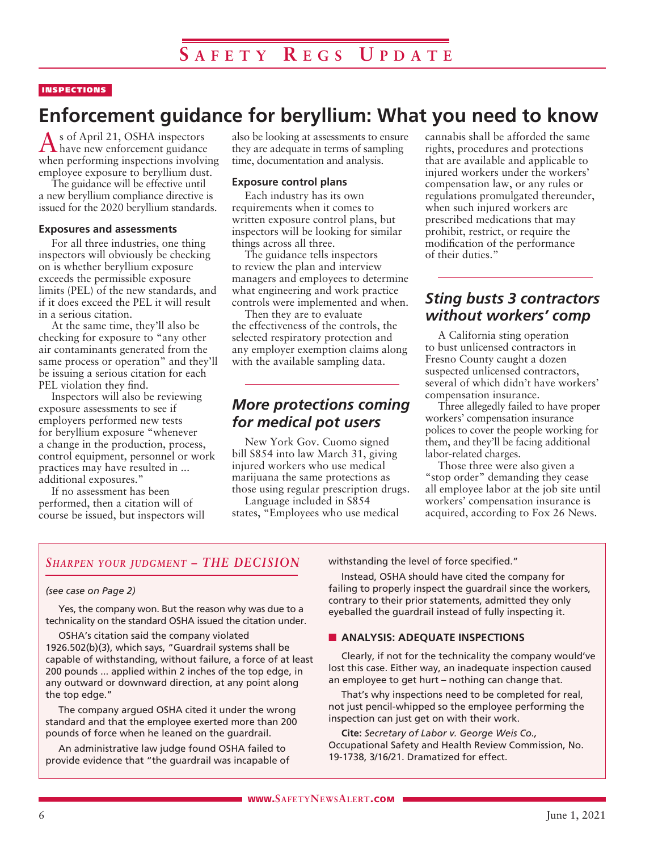#### **INSPECTIONS**

# **Enforcement guidance for beryllium: What you need to know**

As of April 21, OSHA inspectors have new enforcement guidance when performing inspections involving employee exposure to beryllium dust.

The guidance will be effective until a new beryllium compliance directive is issued for the 2020 beryllium standards.

#### **Exposures and assessments**

For all three industries, one thing inspectors will obviously be checking on is whether beryllium exposure exceeds the permissible exposure limits (PEL) of the new standards, and if it does exceed the PEL it will result in a serious citation.

At the same time, they'll also be checking for exposure to "any other air contaminants generated from the same process or operation" and they'll be issuing a serious citation for each PEL violation they find.

Inspectors will also be reviewing exposure assessments to see if employers performed new tests for beryllium exposure "whenever a change in the production, process, control equipment, personnel or work practices may have resulted in ... additional exposures."

If no assessment has been performed, then a citation will of course be issued, but inspectors will also be looking at assessments to ensure they are adequate in terms of sampling time, documentation and analysis.

#### **Exposure control plans**

Each industry has its own requirements when it comes to written exposure control plans, but inspectors will be looking for similar things across all three.

The guidance tells inspectors to review the plan and interview managers and employees to determine what engineering and work practice controls were implemented and when.

Then they are to evaluate the effectiveness of the controls, the selected respiratory protection and any employer exemption claims along with the available sampling data.

#### *More protections coming for medical pot users*

New York Gov. Cuomo signed bill S854 into law March 31, giving injured workers who use medical marijuana the same protections as those using regular prescription drugs.

Language included in S854 states, "Employees who use medical cannabis shall be afforded the same rights, procedures and protections that are available and applicable to injured workers under the workers' compensation law, or any rules or regulations promulgated thereunder, when such injured workers are prescribed medications that may prohibit, restrict, or require the modification of the performance of their duties."

### *Sting busts 3 contractors without workers' comp*

A California sting operation to bust unlicensed contractors in Fresno County caught a dozen suspected unlicensed contractors, several of which didn't have workers' compensation insurance.

Three allegedly failed to have proper workers' compensation insurance polices to cover the people working for them, and they'll be facing additional labor-related charges.

Those three were also given a "stop order" demanding they cease all employee labor at the job site until workers' compensation insurance is acquired, according to Fox 26 News.

#### *Sharpen your judgment – THE DECISION*

#### *(see case on Page 2)*

Yes, the company won. But the reason why was due to a technicality on the standard OSHA issued the citation under.

OSHA's citation said the company violated 1926.502(b)(3), which says, "Guardrail systems shall be capable of withstanding, without failure, a force of at least 200 pounds ... applied within 2 inches of the top edge, in any outward or downward direction, at any point along the top edge."

The company argued OSHA cited it under the wrong standard and that the employee exerted more than 200 pounds of force when he leaned on the guardrail.

An administrative law judge found OSHA failed to provide evidence that "the guardrail was incapable of withstanding the level of force specified."

Instead, OSHA should have cited the company for failing to properly inspect the guardrail since the workers, contrary to their prior statements, admitted they only eyeballed the guardrail instead of fully inspecting it.

#### **N** ANALYSIS: ADEQUATE INSPECTIONS

Clearly, if not for the technicality the company would've lost this case. Either way, an inadequate inspection caused an employee to get hurt – nothing can change that.

That's why inspections need to be completed for real, not just pencil-whipped so the employee performing the inspection can just get on with their work.

**Cite:** *Secretary of Labor v. George Weis Co.,* Occupational Safety and Health Review Commission, No. 19-1738, 3/16/21. Dramatized for effect.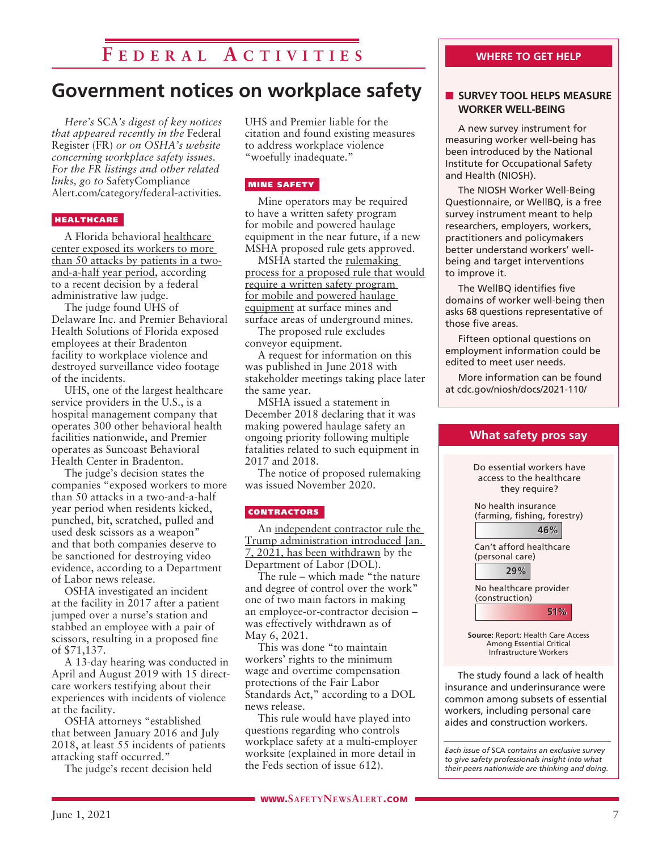# **F e d e r a l A c t i v i t i e s**

# **Government notices on workplace safety**

*Here's* SCA*'s digest of key notices that appeared recently in the* Federal Register (FR) *or on OSHA's website concerning workplace safety issues. For the FR listings and other related links, go to* SafetyCompliance Alert.com/category/federal-activities*.*

#### **HEALTHCARE**

A Florida behavioral healthcare center exposed its workers to more than 50 attacks by patients in a twoand-a-half year period, according to a recent decision by a federal administrative law judge.

The judge found UHS of Delaware Inc. and Premier Behavioral Health Solutions of Florida exposed employees at their Bradenton facility to workplace violence and destroyed surveillance video footage of the incidents.

UHS, one of the largest healthcare service providers in the U.S., is a hospital management company that operates 300 other behavioral health facilities nationwide, and Premier operates as Suncoast Behavioral Health Center in Bradenton.

The judge's decision states the companies "exposed workers to more than 50 attacks in a two-and-a-half year period when residents kicked, punched, bit, scratched, pulled and used desk scissors as a weapon" and that both companies deserve to be sanctioned for destroying video evidence, according to a Department of Labor news release.

OSHA investigated an incident at the facility in 2017 after a patient jumped over a nurse's station and stabbed an employee with a pair of scissors, resulting in a proposed fine of \$71,137.

A 13-day hearing was conducted in April and August 2019 with 15 directcare workers testifying about their experiences with incidents of violence at the facility.

OSHA attorneys "established that between January 2016 and July 2018, at least 55 incidents of patients attacking staff occurred."

The judge's recent decision held

UHS and Premier liable for the citation and found existing measures to address workplace violence "woefully inadequate."

#### MINE SAFETY

Mine operators may be required to have a written safety program for mobile and powered haulage equipment in the near future, if a new MSHA proposed rule gets approved.

MSHA started the rulemaking process for a proposed rule that would require a written safety program for mobile and powered haulage equipment at surface mines and surface areas of underground mines.

The proposed rule excludes conveyor equipment.

A request for information on this was published in June 2018 with stakeholder meetings taking place later the same year.

MSHA issued a statement in December 2018 declaring that it was making powered haulage safety an ongoing priority following multiple fatalities related to such equipment in 2017 and 2018.

The notice of proposed rulemaking was issued November 2020.

#### **CONTRACTORS**

An <u>independent contractor rule the</u> Trump administration introduced Jan. 7, 2021, has been withdrawn by the Department of Labor (DOL).

The rule – which made "the nature and degree of control over the work" one of two main factors in making an employee-or-contractor decision – was effectively withdrawn as of May 6, 2021.

This was done "to maintain workers' rights to the minimum wage and overtime compensation protections of the Fair Labor Standards Act," according to a DOL news release.

This rule would have played into questions regarding who controls workplace safety at a multi-employer worksite (explained in more detail in the Feds section of issue 612).

#### **WHERE TO GET HELP**

#### **N** SURVEY TOOL HELPS MEASURE **WORKER WELL-BEING**

A new survey instrument for measuring worker well-being has been introduced by the National Institute for Occupational Safety and Health (NIOSH).

The NIOSH Worker Well-Being Questionnaire, or WellBQ, is a free survey instrument meant to help researchers, employers, workers, practitioners and policymakers better understand workers' wellbeing and target interventions to improve it.

The WellBQ identifies five domains of worker well-being then asks 68 questions representative of those five areas.

Fifteen optional questions on employment information could be edited to meet user needs.

More information can be found at cdc.gov/niosh/docs/2021-110/



insurance and underinsurance were common among subsets of essential workers, including personal care aides and construction workers.

*Each issue of* SCA *contains an exclusive survey to give safety professionals insight into what their peers nationwide are thinking and doing.*